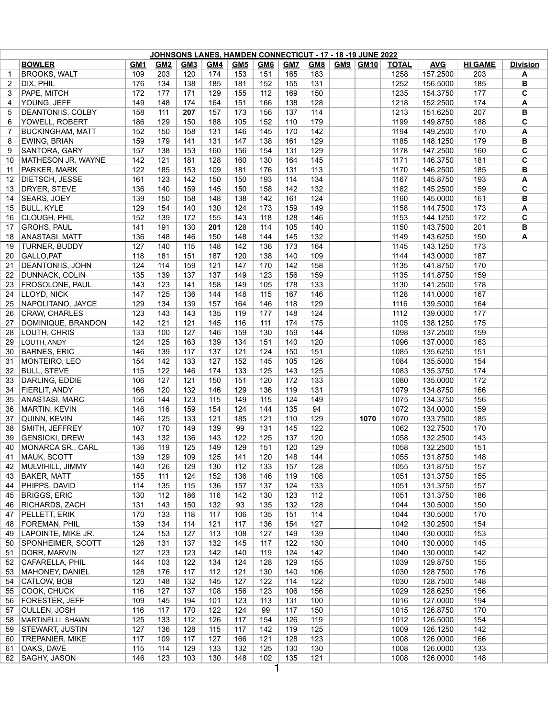| JOHNSONS LANES, HAMDEN CONNECTICUT - 17 - 18 -19 JUNE 2022 |                          |            |            |     |            |            |            |            |            |  |          |              |            |                |                 |
|------------------------------------------------------------|--------------------------|------------|------------|-----|------------|------------|------------|------------|------------|--|----------|--------------|------------|----------------|-----------------|
|                                                            | <b>BOWLER</b>            | <b>GM1</b> | <b>GM2</b> | GM3 | <u>GM4</u> | <u>GM5</u> | <b>GM6</b> | <u>GM7</u> | <b>GM8</b> |  | GM9 GM10 | <b>TOTAL</b> | <b>AVG</b> | <b>HI GAME</b> | <b>Division</b> |
| $\mathbf{1}$                                               | <b>BROOKS, WALT</b>      | 109        | 203        | 120 | 174        | 153        | 151        | 165        | 183        |  |          | 1258         | 157.2500   | 203            | A               |
| 2                                                          | DIX, PHIL                | 176        | 134        | 138 | 185        | 181        | 152        | 155        | 131        |  |          | 1252         | 156.5000   | 185            | В               |
| 3                                                          | PAPE, MITCH              | 172        | 177        | 171 | 129        | 155        | 112        | 169        | 150        |  |          | 1235         | 154.3750   | 177            | C               |
| 4                                                          | YOUNG, JEFF              | 149        | 148        | 174 | 164        | 151        | 166        | 138        | 128        |  |          | 1218         | 152.2500   | 174            | A               |
| 5                                                          | <b>DEANTONIIS, COLBY</b> | 158        | 111        | 207 | 157        | 173        | 156        | 137        | 114        |  |          | 1213         | 151.6250   | 207            | В               |
| 6                                                          | YOWELL, ROBERT           | 186        | 129        | 150 | 188        | 105        | 152        | 110        | 179        |  |          | 1199         | 149.8750   | 188            | C               |
| $\overline{7}$                                             | <b>BUCKINGHAM, MATT</b>  | 152        | 150        | 158 | 131        | 146        | 145        | 170        | 142        |  |          | 1194         | 149.2500   | 170            | A               |
| 8                                                          | <b>EWING, BRIAN</b>      | 159        | 179        | 141 | 131        | 147        | 138        | 161        | 129        |  |          | 1185         | 148.1250   | 179            | В               |
| 9                                                          | SANTORA, GARY            | 157        | 138        | 153 | 160        | 156        | 154        | 131        | 129        |  |          | 1178         | 147.2500   | 160            | $\mathbf c$     |
| 10                                                         | MATHESON JR. WAYNE       | 142        | 121        | 181 | 128        | 160        | 130        | 164        | 145        |  |          | 1171         | 146.3750   | 181            | C               |
| 11                                                         | <b>PARKER, MARK</b>      | 122        | 185        | 153 | 109        | 181        | 176        | 131        | 113        |  |          | 1170         | 146.2500   | 185            | В               |
| 12                                                         | <b>DIETSCH, JESSE</b>    | 161        | 123        | 142 | 150        | 150        | 193        | 114        | 134        |  |          | 1167         | 145.8750   | 193            | A               |
| 13                                                         | DRYER, STEVE             | 136        | 140        | 159 | 145        | 150        | 158        | 142        | 132        |  |          | 1162         | 145.2500   | 159            | C               |
| 14                                                         | SEARS, JOEY              | 139        | 150        | 158 | 148        | 138        | 142        | 161        | 124        |  |          | 1160         | 145.0000   | 161            | В               |
| 15                                                         | <b>BULL, KYLE</b>        | 129        | 154        | 140 | 130        | 124        | 173        | 159        | 149        |  |          | 1158         | 144.7500   | 173            | A               |
| 16                                                         | CLOUGH, PHIL             | 152        | 139        | 172 | 155        | 143        | 118        | 128        | 146        |  |          | 1153         | 144.1250   | 172            | C               |
| 17                                                         | <b>GROHS, PAUL</b>       | 141        | 191        | 130 | 201        | 128        | 114        | 105        | 140        |  |          | 1150         | 143.7500   | 201            | В               |
| 18                                                         | <b>ANASTASI, MATT</b>    | 136        | 148        | 146 | 150        | 148        | 144        | 145        | 132        |  |          | 1149         | 143.6250   | 150            | A               |
| 19                                                         | <b>TURNER, BUDDY</b>     | 127        | 140        | 115 | 148        | 142        | 136        | 173        | 164        |  |          | 1145         | 143.1250   | 173            |                 |
| 20                                                         | GALLO, PAT               | 118        | 181        | 151 | 187        | 120        | 138        | 140        | 109        |  |          | 1144         | 143.0000   | 187            |                 |
| 21                                                         | <b>DEANTONIIS, JOHN</b>  | 124        | 114        | 159 | 121        | 147        | 170        | 142        | 158        |  |          |              |            | 170            |                 |
| 22                                                         |                          | 135        | 139        |     |            | 149        |            | 156        | 159        |  |          | 1135         | 141.8750   | 159            |                 |
|                                                            | DUNNACK, COLIN           |            |            | 137 | 137        |            | 123        |            |            |  |          | 1135         | 141.8750   |                |                 |
| 23                                                         | <b>FROSOLONE, PAUL</b>   | 143        | 123        | 141 | 158        | 149        | 105        | 178        | 133        |  |          | 1130         | 141.2500   | 178            |                 |
| 24                                                         | LLOYD, NICK              | 147        | 125        | 136 | 144        | 148        | 115        | 167        | 146        |  |          | 1128         | 141.0000   | 167            |                 |
| 25                                                         | NAPOLITANO, JAYCE        | 129        | 134        | 139 | 157        | 164        | 146        | 118        | 129        |  |          | 1116         | 139.5000   | 164            |                 |
| 26                                                         | <b>CRAW, CHARLES</b>     | 123        | 143        | 143 | 135        | 119        | 177        | 148        | 124        |  |          | 1112         | 139.0000   | 177            |                 |
| 27                                                         | DOMINIQUE, BRANDON       | 142        | 121        | 121 | 145        | 116        | 111        | 174        | 175        |  |          | 1105         | 138.1250   | 175            |                 |
| 28                                                         | LOUTH, CHRIS             | 133        | 100        | 127 | 146        | 159        | 130        | 159        | 144        |  |          | 1098         | 137.2500   | 159            |                 |
| 29                                                         | LOUTH, ANDY              | 124        | 125        | 163 | 139        | 134        | 151        | 140        | 120        |  |          | 1096         | 137.0000   | 163            |                 |
| 30                                                         | <b>BARNES, ERIC</b>      | 146        | 139        | 117 | 137        | 121        | 124        | 150        | 151        |  |          | 1085         | 135.6250   | 151            |                 |
| 31                                                         | <b>MONTEIRO, LEO</b>     | 154        | 142        | 133 | 127        | 152        | 145        | 105        | 126        |  |          | 1084         | 135.5000   | 154            |                 |
| 32                                                         | <b>BULL, STEVE</b>       | 115        | 122        | 146 | 174        | 133        | 125        | 143        | 125        |  |          | 1083         | 135.3750   | 174            |                 |
| 33                                                         | DARLING, EDDIE           | 106        | 127        | 121 | 150        | 151        | 120        | 172        | 133        |  |          | 1080         | 135.0000   | 172            |                 |
| 34                                                         | <b>FIERLIT, ANDY</b>     | 166        | 120        | 132 | 146        | 129        | 136        | 119        | 131        |  |          | 1079         | 134.8750   | 166            |                 |
| 35                                                         | ANASTASI, MARC           | 156        | 144        | 123 | 115        | 149        | 115        | 124        | 149        |  |          | 1075         | 134.3750   | 156            |                 |
| 36                                                         | <b>MARTIN, KEVIN</b>     | 146        | 116        | 159 | 154        | 124        | 144        | 135        | 94         |  |          | 1072         | 134.0000   | 159            |                 |
| 37                                                         | QUINN, KEVIN             | 146        | 125        | 133 | 121        | 185        | 121        | 110        | 129        |  | 1070     | 1070         | 133.7500   | 185            |                 |
| 38                                                         | SMITH, JEFFREY           | 107        | 170        | 149 | 139        | 99         | 131        | 145        | 122        |  |          | 1062         | 132.7500   | 170            |                 |
| 39                                                         | <b>GENSICKI, DREW</b>    | 143        | 132        | 136 | 143        | 122        | 125        | 137        | 120        |  |          | 1058         | 132.2500   | 143            |                 |
| 40                                                         | MONARCA SR., CARL        | 136        | 119        | 125 | 149        | 129        | 151        | 120        | 129        |  |          | 1058         | 132.2500   | 151            |                 |
| 41                                                         | MAUK, SCOTT              | 139        | 129        | 109 | 125        | 141        | 120        | 148        | 144        |  |          | 1055         | 131.8750   | 148            |                 |
| 42                                                         | MULVIHILL, JIMMY         | 140        | 126        | 129 | 130        | 112        | 133        | 157        | 128        |  |          | 1055         | 131.8750   | 157            |                 |
| 43                                                         | <b>BAKER, MATT</b>       | 155        | 111        | 124 | 152        | 136        | 146        | 119        | 108        |  |          | 1051         | 131.3750   | 155            |                 |
| 44                                                         | PHIPPS, DAVID            | 114        | 135        | 115 | 136        | 157        | 137        | 124        | 133        |  |          | 1051         | 131.3750   | 157            |                 |
| 45                                                         | <b>BRIGGS, ERIC</b>      | 130        | 112        | 186 | 116        | 142        | 130        | 123        | 112        |  |          | 1051         | 131.3750   | 186            |                 |
| 46                                                         | <b>RICHARDS, ZACH</b>    | 131        | 143        | 150 | 132        | 93         | 135        | 132        | 128        |  |          | 1044         | 130.5000   | 150            |                 |
| 47                                                         | PELLETT, ERIK            | 170        | 133        | 118 | 117        | 106        | 135        | 151        | 114        |  |          | 1044         | 130.5000   | 170            |                 |
| 48                                                         | <b>FOREMAN, PHIL</b>     | 139        | 134        | 114 | 121        | 117        | 136        | 154        | 127        |  |          | 1042         | 130.2500   | 154            |                 |
| 49                                                         | LAPOINTE, MIKE JR.       | 124        | 153        | 127 | 113        | 108        | 127        | 149        | 139        |  |          | 1040         | 130.0000   | 153            |                 |
| 50                                                         | SPONHEIMER, SCOTT        | 126        | 131        | 137 | 132        | 145        | 117        | 122        | 130        |  |          | 1040         | 130.0000   | 145            |                 |
| 51                                                         | <b>DORR, MARVIN</b>      | 127        | 123        | 123 | 142        | 140        | 119        | 124        | 142        |  |          | 1040         | 130.0000   | 142            |                 |
| 52                                                         | CAFARELLA, PHIL          | 144        | 103        | 122 | 134        | 124        | 128        | 129        | 155        |  |          | 1039         | 129.8750   | 155            |                 |
| 53                                                         | MAHONEY, DANIEL          | 128        | 176        | 117 | 112        | 121        | 130        | 140        | 106        |  |          | 1030         | 128.7500   | 176            |                 |
| 54                                                         | CATLOW, BOB              | 120        | 148        | 132 | 145        | 127        | 122        | 114        | 122        |  |          | 1030         | 128.7500   | 148            |                 |
| 55                                                         | COOK, CHUCK              | 116        | 127        | 137 | 108        | 156        | 123        | 106        | 156        |  |          | 1029         | 128.6250   | 156            |                 |
| 56                                                         | <b>FORESTER, JEFF</b>    | 109        | 145        | 194 | 101        | 123        | 113        | 131        | 100        |  |          | 1016         | 127.0000   | 194            |                 |
| 57                                                         | CULLEN, JOSH             | 116        | 117        | 170 | 122        | 124        | 99         | 117        | 150        |  |          | 1015         | 126.8750   | 170            |                 |
| 58                                                         | MARTINELLI, SHAWN        | 125        | 133        | 112 | 126        | 117        | 154        | 126        | 119        |  |          | 1012         | 126.5000   | 154            |                 |
| 59                                                         | STEWART, JUSTIN          | 127        | 136        | 128 | 115        | 117        | 142        | 119        | 125        |  |          | 1009         | 126.1250   | 142            |                 |
| 60                                                         | <b>TREPANIER, MIKE</b>   | 117        | 109        | 117 | 127        | 166        | 121        | 128        | 123        |  |          | 1008         | 126.0000   | 166            |                 |
| 61                                                         | OAKS, DAVE               | 115        | 114        | 129 | 133        | 132        | 125        | 130        | 130        |  |          | 1008         | 126.0000   | 133            |                 |
| 62                                                         | SAGHY, JASON             | 146        | 123        | 103 | 130        | 148        | 102        | 135        | 121        |  |          | 1008         | 126.0000   | 148            |                 |